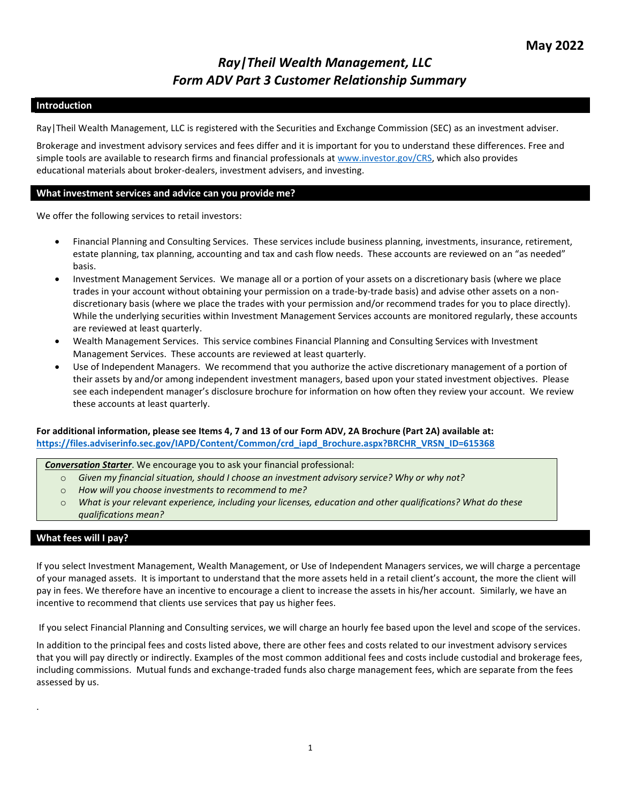# *Ray|Theil Wealth Management, LLC Form ADV Part 3 Customer Relationship Summary*

#### **Introduction**

Ray|Theil Wealth Management, LLC is registered with the Securities and Exchange Commission (SEC) as an investment adviser.

Brokerage and investment advisory services and fees differ and it is important for you to understand these differences. Free and simple tools are available to research firms and financial professionals at [www.investor.gov/CRS,](http://www.investor.gov/CRS) which also provides educational materials about broker-dealers, investment advisers, and investing.

#### **What investment services and advice can you provide me?**

We offer the following services to retail investors:

- Financial Planning and Consulting Services. These services include business planning, investments, insurance, retirement, estate planning, tax planning, accounting and tax and cash flow needs. These accounts are reviewed on an "as needed" basis.
- Investment Management Services. We manage all or a portion of your assets on a discretionary basis (where we place trades in your account without obtaining your permission on a trade-by-trade basis) and advise other assets on a nondiscretionary basis (where we place the trades with your permission and/or recommend trades for you to place directly). While the underlying securities within Investment Management Services accounts are monitored regularly, these accounts are reviewed at least quarterly.
- Wealth Management Services. This service combines Financial Planning and Consulting Services with Investment Management Services. These accounts are reviewed at least quarterly.
- Use of Independent Managers. We recommend that you authorize the active discretionary management of a portion of their assets by and/or among independent investment managers, based upon your stated investment objectives. Please see each independent manager's disclosure brochure for information on how often they review your account. We review these accounts at least quarterly.

#### **For additional information, please see Items 4, 7 and 13 of our Form ADV, 2A Brochure (Part 2A) available at: [https://files.adviserinfo.sec.gov/IAPD/Content/Common/crd\\_iapd\\_Brochure.aspx?BRCHR\\_VRSN\\_ID=615368](https://files.adviserinfo.sec.gov/IAPD/Content/Common/crd_iapd_Brochure.aspx?BRCHR_VRSN_ID=615368)**

*Conversation Starter*. We encourage you to ask your financial professional:

- o *Given my financial situation, should I choose an investment advisory service? Why or why not?*
- o *How will you choose investments to recommend to me?*
- o *What is your relevant experience, including your licenses, education and other qualifications? What do these qualifications mean?*

#### **What fees will I pay?**

.

If you select Investment Management, Wealth Management, or Use of Independent Managers services, we will charge a percentage of your managed assets. It is important to understand that the more assets held in a retail client's account, the more the client will pay in fees. We therefore have an incentive to encourage a client to increase the assets in his/her account. Similarly, we have an incentive to recommend that clients use services that pay us higher fees.

If you select Financial Planning and Consulting services, we will charge an hourly fee based upon the level and scope of the services.

In addition to the principal fees and costs listed above, there are other fees and costs related to our investment advisory services that you will pay directly or indirectly. Examples of the most common additional fees and costs include custodial and brokerage fees, including commissions. Mutual funds and exchange-traded funds also charge management fees, which are separate from the fees assessed by us.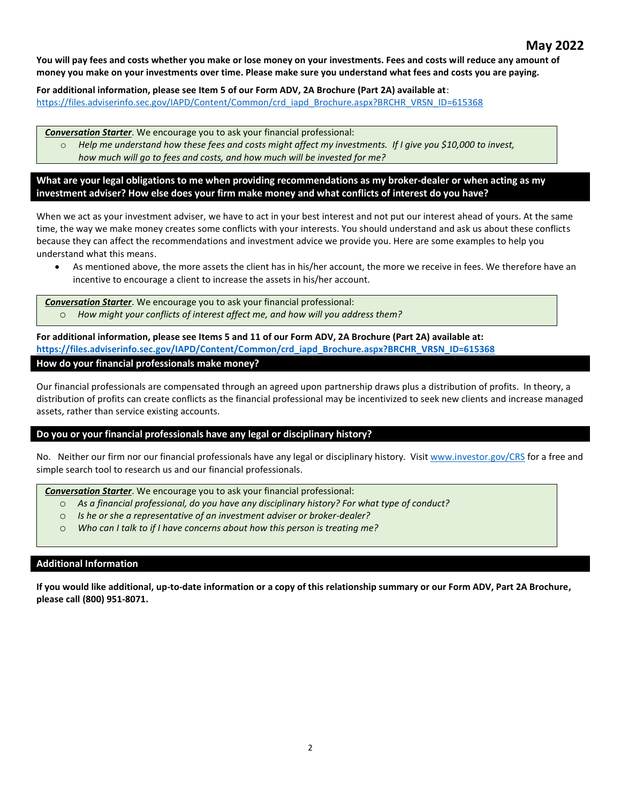## **May 2022**

**You will pay fees and costs whether you make or lose money on your investments. Fees and costs will reduce any amount of money you make on your investments over time. Please make sure you understand what fees and costs you are paying.**

**For additional information, please see Item 5 of our Form ADV, 2A Brochure (Part 2A) available at**: [https://files.adviserinfo.sec.gov/IAPD/Content/Common/crd\\_iapd\\_Brochure.aspx?BRCHR\\_VRSN\\_ID=615368](https://files.adviserinfo.sec.gov/IAPD/Content/Common/crd_iapd_Brochure.aspx?BRCHR_VRSN_ID=615368)

*Conversation Starter*. We encourage you to ask your financial professional:

o *Help me understand how these fees and costs might affect my investments.  If I give you \$10,000 to invest, how much will go to fees and costs, and how much will be invested for me?*

**What are your legal obligations to me when providing recommendations as my broker-dealer or when acting as my investment adviser? How else does your firm make money and what conflicts of interest do you have?**

When we act as your investment adviser, we have to act in your best interest and not put our interest ahead of yours. At the same time, the way we make money creates some conflicts with your interests. You should understand and ask us about these conflicts because they can affect the recommendations and investment advice we provide you. Here are some examples to help you understand what this means.

• As mentioned above, the more assets the client has in his/her account, the more we receive in fees. We therefore have an incentive to encourage a client to increase the assets in his/her account.

*Conversation Starter*. We encourage you to ask your financial professional: o *How might your conflicts of interest affect me, and how will you address them?*

**For additional information, please see Items 5 and 11 of our Form ADV, 2A Brochure (Part 2A) available at: [https://files.adviserinfo.sec.gov/IAPD/Content/Common/crd\\_iapd\\_Brochure.aspx?BRCHR\\_VRSN\\_ID=615368](https://files.adviserinfo.sec.gov/IAPD/Content/Common/crd_iapd_Brochure.aspx?BRCHR_VRSN_ID=615368) How do your financial professionals make money?**

Our financial professionals are compensated through an agreed upon partnership draws plus a distribution of profits. In theory, a distribution of profits can create conflicts as the financial professional may be incentivized to seek new clients and increase managed assets, rather than service existing accounts.

#### **Do you or your financial professionals have any legal or disciplinary history?**

No. Neither our firm nor our financial professionals have any legal or disciplinary history. Visi[t www.investor.gov/CRS](http://www.investor.gov/CRS) for a free and simple search tool to research us and our financial professionals.

*Conversation Starter*. We encourage you to ask your financial professional:

- o *As a financial professional, do you have any disciplinary history? For what type of conduct?*
- o *Is he or she a representative of an investment adviser or broker-dealer?*
- o *Who can I talk to if I have concerns about how this person is treating me?*

#### **Additional Information**

**If you would like additional, up-to-date information or a copy of this relationship summary or our Form ADV, Part 2A Brochure, please call (800) 951-8071.**